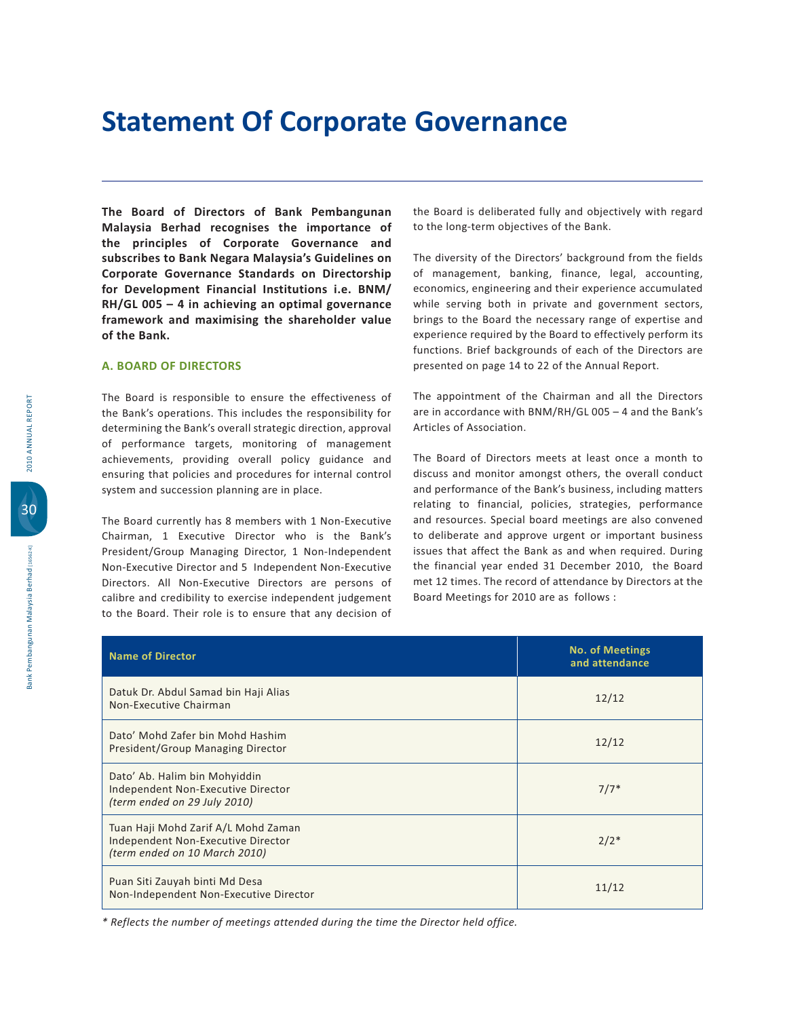and the state of the state of the immersion of wate provides the computer the impertance of me a principles are acceptants as committed in the second of the second in the second in the second in the second in the second in the second in the second in the second in the second in the second in the second in the sec **Corporate Governance Standards on Directorship For Development Einancial Institutions i.e. RNM/ RH/GL 005 – 4 in achieving an optimal governance**<br> **framework** and maximising the shareholder value  **.
 /** 

### **A. BOARD OF DIRECTORS**

The Board is responsible to ensure the effectiveness of the Bank's operations. This includes the responsibility for determining the Bank's overall strategic direction, approval of performance targets, monitoring of management achievements, providing overall policy guidance and ensuring that policies and procedures for internal control system and succession planning are in place.

The Board currently has 8 members with 1 Non-Executive Chairman, 1 Executive Director who is the Bank's President/Group Managing Director, 1 Non-Independent Non-Executive Director and 5 Independent Non-Executive Directors. All Non-Executive Directors are persons of calibre and credibility to exercise independent judgement to the Board. Their role is to ensure that any decision of

the Board is deliberated fully and objectively with regard to the long-term objectives of the Bank.

The diversity of the Directors' background from the fields of management, banking, finance, legal, accounting, economics, engineering and their experience accumulated while serving both in private and government sectors, brings to the Board the necessary range of expertise and experience required by the Board to effectively perform its functions. Brief backgrounds of each of the Directors are presented on page 14 to 22 of the Annual Report.

The appointment of the Chairman and all the Directors are in accordance with BNM/RH/GL 005 - 4 and the Bank's Articles of Association.

The Board of Directors meets at least once a month to discuss and monitor amongst others, the overall conduct and performance of the Bank's business, including matters relating to financial, policies, strategies, performance and resources. Special board meetings are also convened to deliberate and approve urgent or important business issues that affect the Bank as and when required. During the financial year ended 31 December 2010, the Board met 12 times. The record of attendance by Directors at the Board Meetings for 2010 are as follows :

| <b>Name of Director</b>                                                                                    | <b>No. of Meetings</b><br>and attendance |
|------------------------------------------------------------------------------------------------------------|------------------------------------------|
| Datuk Dr. Abdul Samad bin Haji Alias<br>Non-Executive Chairman                                             | 12/12                                    |
| Dato' Mohd Zafer bin Mohd Hashim<br>President/Group Managing Director                                      | 12/12                                    |
| Dato' Ab. Halim bin Mohyiddin<br>Independent Non-Executive Director<br>(term ended on 29 July 2010)        | $7/7*$                                   |
| Tuan Haji Mohd Zarif A/L Mohd Zaman<br>Independent Non-Executive Director<br>(term ended on 10 March 2010) | $2/2*$                                   |
| Puan Siti Zauyah binti Md Desa<br>Non-Independent Non-Executive Director                                   | 11/12                                    |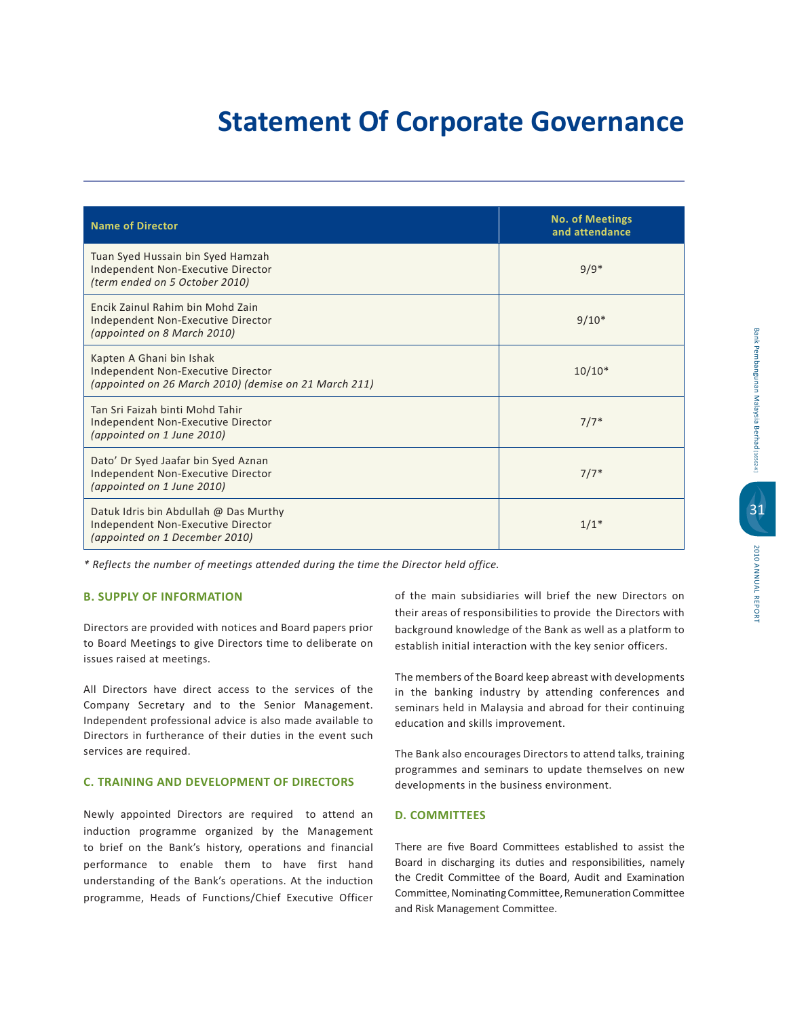| <b>Name of Director</b>                                                                                                 | <b>No. of Meetings</b><br>and attendance |
|-------------------------------------------------------------------------------------------------------------------------|------------------------------------------|
| Tuan Syed Hussain bin Syed Hamzah<br>Independent Non-Executive Director<br>(term ended on 5 October 2010)               | $9/9*$                                   |
| <b>Fncik Zainul Rahim bin Mohd Zain</b><br>Independent Non-Executive Director<br>(appointed on 8 March 2010)            | $9/10*$                                  |
| Kapten A Ghani bin Ishak<br>Independent Non-Executive Director<br>(appointed on 26 March 2010) (demise on 21 March 211) | $10/10*$                                 |
| Tan Sri Faizah binti Mohd Tahir<br>Independent Non-Executive Director<br>(appointed on 1 June 2010)                     | $7/7*$                                   |
| Dato' Dr Syed Jaafar bin Syed Aznan<br>Independent Non-Executive Director<br>(appointed on 1 June 2010)                 | $7/7*$                                   |
| Datuk Idris bin Abdullah @ Das Murthy<br>Independent Non-Executive Director<br>(appointed on 1 December 2010)           | $1/1*$                                   |

*\* Reflects the number of meetings attended during the time the Director held office.*

### **B. SUPPLY OF INFORMATION**

Directors are provided with notices and Board papers prior to Board Meetings to give Directors time to deliberate on issues raised at meetings.

All Directors have direct access to the services of the Company Secretary and to the Senior Management. Independent professional advice is also made available to Directors in furtherance of their duties in the event such services are required.

## **C. TRAINING AND DEVELOPMENT OF DIRECTORS**

Newly appointed Directors are required to attend an induction programme organized by the Management to brief on the Bank's history, operations and financial performance to enable them to have first hand understanding of the Bank's operations. At the induction programme, Heads of Functions/Chief Executive Officer

of the main subsidiaries will brief the new Directors on their areas of responsibilities to provide the Directors with background knowledge of the Bank as well as a platform to establish initial interaction with the key senior officers.

The members of the Board keep abreast with developments in the banking industry by attending conferences and seminars held in Malaysia and abroad for their continuing education and skills improvement.

The Bank also encourages Directors to attend talks, training programmes and seminars to update themselves on new developments in the business environment.

## **D. COMMITTEES**

There are five Board Committees established to assist the Board in discharging its duties and responsibilities, namely the Credit Committee of the Board, Audit and Examination Committee, Nominating Committee, Remuneration Committee and Risk Management Committee.

31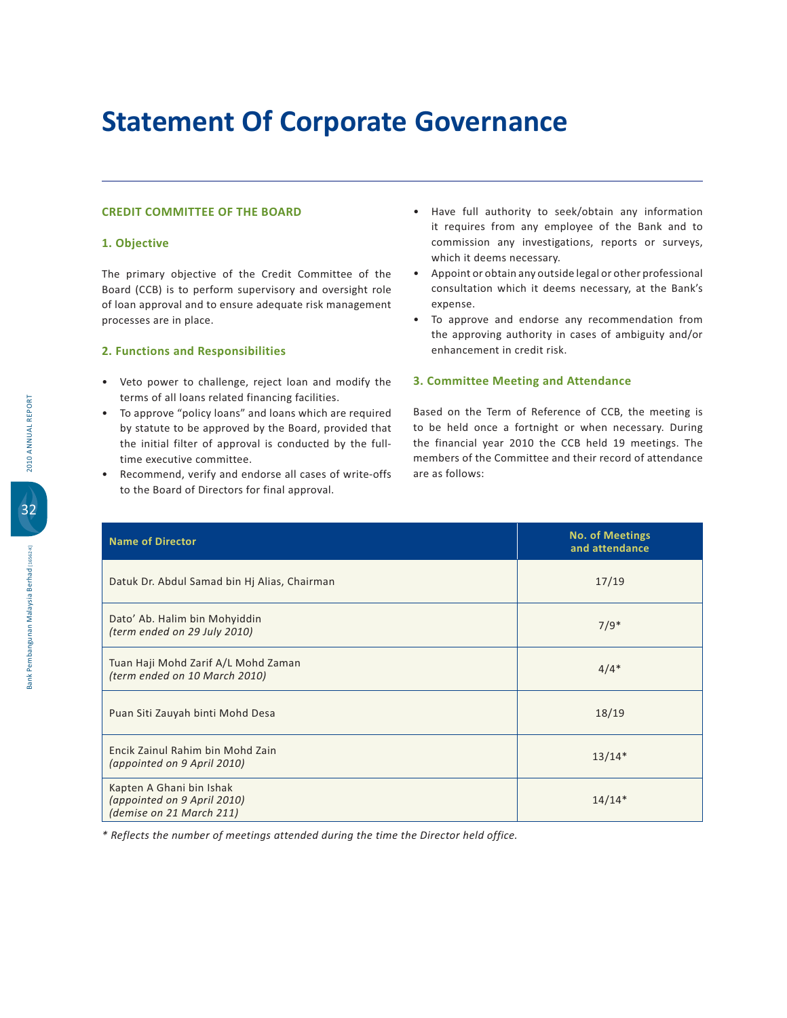## **CREDIT COMMITTEE OF THE BOARD**

## **5% 6**

The primary objective of the Credit Committee of the Board (CCB) is to perform supervisory and oversight role of loan approval and to ensure adequate risk management processes are in place.

## **2. Functions and Responsibilities**

- Veto power to challenge, reject loan and modify the terms of all loans related financing facilities.
- To approve "policy loans" and loans which are required by statute to be approved by the Board, provided that the initial filter of approval is conducted by the fulltime executive committee.
- Recommend, verify and endorse all cases of write-offs to the Board of Directors for final approval.
- . Have full authority to seek/obtain any information it requires from any employee of the Bank and to commission any investigations, reports or surveys, which it deems necessary.
- Appoint or obtain any outside legal or other professional consultation which it deems necessary, at the Bank's expense.
- To approve and endorse any recommendation from the approving authority in cases of ambiguity and/or enhancement in credit risk.

## **8%2**

Based on the Term of Reference of CCB, the meeting is to be held once a fortnight or when necessary. During the financial year 2010 the CCB held 19 meetings. The members of the Committee and their record of attendance are as follows:

| <b>Name of Director</b>                                                             | <b>No. of Meetings</b><br>and attendance |
|-------------------------------------------------------------------------------------|------------------------------------------|
| Datuk Dr. Abdul Samad bin Hj Alias, Chairman                                        | 17/19                                    |
| Dato' Ab. Halim bin Mohyiddin<br>(term ended on 29 July 2010)                       | $7/9*$                                   |
| Tuan Haji Mohd Zarif A/L Mohd Zaman<br>(term ended on 10 March 2010)                | $4/4*$                                   |
| Puan Siti Zauyah binti Mohd Desa                                                    | 18/19                                    |
| Encik Zainul Rahim bin Mohd Zain<br>(appointed on 9 April 2010)                     | $13/14*$                                 |
| Kapten A Ghani bin Ishak<br>(appointed on 9 April 2010)<br>(demise on 21 March 211) | $14/14*$                                 |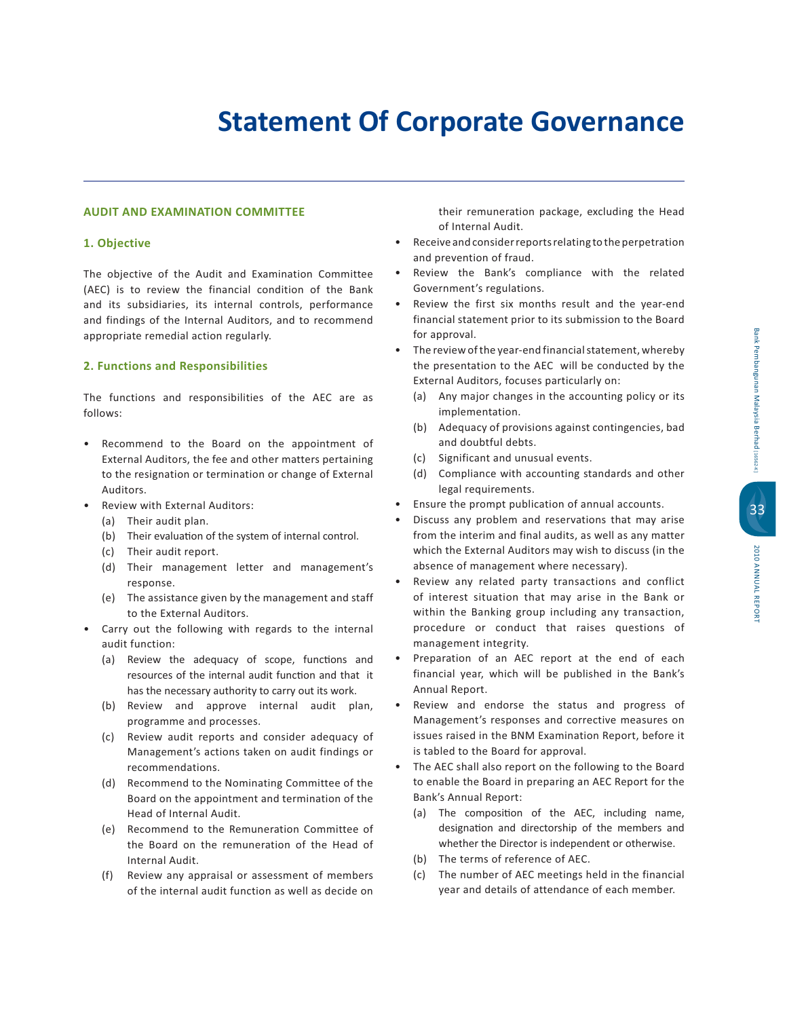## **-Property Proprieties**

## **AUDIT AND EXAMINATION COMMITTEE**

## **5% 6**

The objective of the Audit and Examination Committee (AEC) is to review the financial condition of the Bank and its subsidiaries, its internal controls, performance and findings of the Internal Auditors, and to recommend appropriate remedial action regularly.

## **2. Functions and Responsibilities**

The functions and responsibilities of the AEC are as follows:

- Recommend to the Board on the appointment of External Auditors, the fee and other matters pertaining to the resignation or termination or change of External Auditors.
- Review with External Auditors:
	- (a) Their audit plan.
	- (b) Their evaluation of the system of internal control.
	- (c) Their audit report.
	- (d) Their management letter and management's response.
	- (e) The assistance given by the management and staff to the External Auditors.
- Carry out the following with regards to the internal audit function:
	- (a) Review the adequacy of scope, functions and resources of the internal audit function and that it has the necessary authority to carry out its work.
	- (b) Review and approve internal audit plan, programme and processes.
	- (c) Review audit reports and consider adequacy of Management's actions taken on audit findings or recommendations.
	- (d) Recommend to the Nominating Committee of the Board on the appointment and termination of the Head of Internal Audit.
	- (e) Recommend to the Remuneration Committee of the Board on the remuneration of the Head of Internal Audit.
	- (f) Review any appraisal or assessment of members of the internal audit function as well as decide on

their remuneration package, excluding the Head of Internal Audit.

- Receive and consider reports relating to the perpetration and prevention of fraud.
- Review the Bank's compliance with the related Government's regulations.
- Review the first six months result and the year-end financial statement prior to its submission to the Board for approval.
- The review of the year-end financial statement, whereby the presentation to the AEC will be conducted by the External Auditors, focuses particularly on:
	- (a) Any major changes in the accounting policy or its implementation.
	- (b) Adequacy of provisions against contingencies, bad and doubtful debts.
	- (c) Significant and unusual events.
	- $(d)$ ) Compliance with accounting standards and other legal requirements.
- Ensure the prompt publication of annual accounts.
- Discuss any problem and reservations that may arise from the interim and final audits, as well as any matter which the External Auditors may wish to discuss (in the absence of management where necessary).
- Review any related party transactions and conflict of interest situation that may arise in the Bank or within the Banking group including any transaction, procedure or conduct that raises questions of management integrity.
- Preparation of an AEC report at the end of each financial year, which will be published in the Bank's Annual Report.
- Review and endorse the status and progress of Management's responses and corrective measures on issues raised in the BNM Examination Report, before it is tabled to the Board for approval.
- The AEC shall also report on the following to the Board to enable the Board in preparing an AEC Report for the Bank's Annual Report:
	- (a) The composition of the AEC, including name, designation and directorship of the members and whether the Director is independent or otherwise.
	- (b) The terms of reference of AEC.
	- (c) The number of AEC meetings held in the financial year and details of attendance of each member.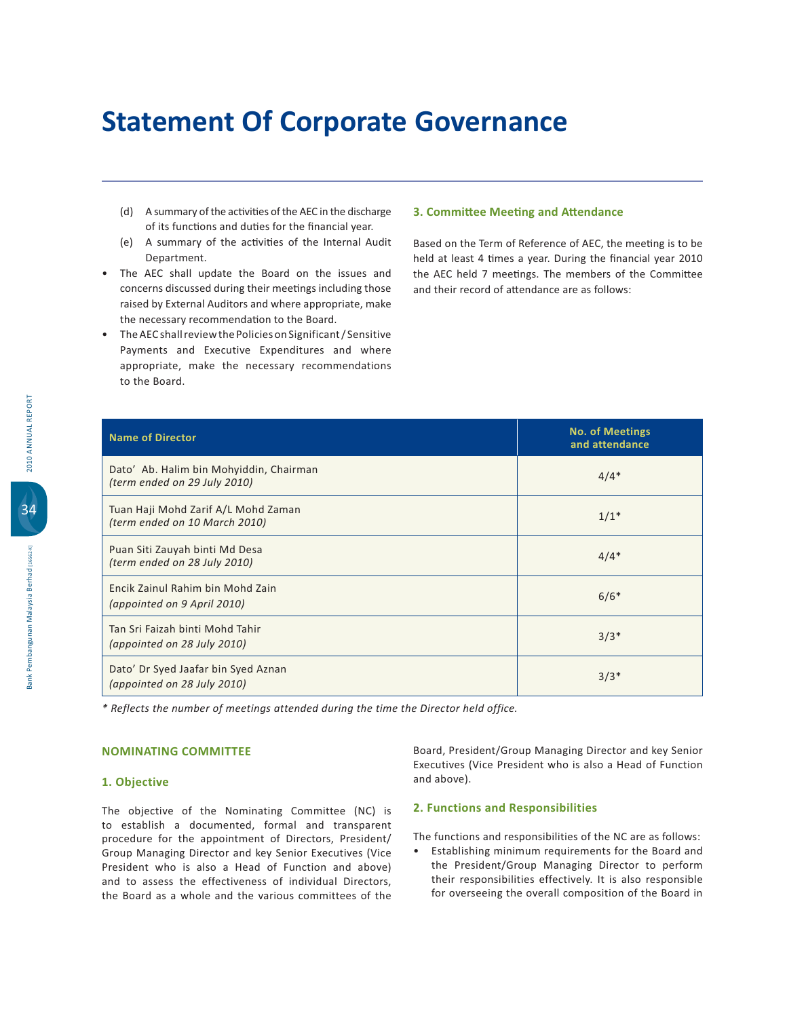- (d) A summary of the activities of the AEC in the discharge of its functions and duties for the financial year.
- (e) A summary of the activities of the Internal Audit Department.
- . The AEC shall update the Board on the issues and concerns discussed during their meetings including those raised by External Auditors and where appropriate, make the necessary recommendation to the Board.
- The AEC shall review the Policies on Significant / Sensitive Payments and Executive Expenditures and where appropriate, make the necessary recommendations to the Board.

## **3. Committee Meeting and Attendance**

Based on the Term of Reference of AEC, the meeting is to be held at least 4 times a year. During the financial year 2010 the AEC held 7 meetings. The members of the Committee and their record of attendance are as follows:

| <b>Name of Director</b>                                                 | <b>No. of Meetings</b><br>and attendance |
|-------------------------------------------------------------------------|------------------------------------------|
| Dato' Ab. Halim bin Mohyiddin, Chairman<br>(term ended on 29 July 2010) | $4/4*$                                   |
| Tuan Haji Mohd Zarif A/L Mohd Zaman<br>(term ended on 10 March 2010)    | $1/1*$                                   |
| Puan Siti Zauyah binti Md Desa<br>(term ended on 28 July 2010)          | $4/4*$                                   |
| Encik Zainul Rahim bin Mohd Zain<br>(appointed on 9 April 2010)         | $6/6*$                                   |
| Tan Sri Faizah binti Mohd Tahir<br>(appointed on 28 July 2010)          | $3/3*$                                   |
| Dato' Dr Syed Jaafar bin Syed Aznan<br>(appointed on 28 July 2010)      | $3/3*$                                   |

*\* Reflects the number of meetings attended during the time the Director held office.*

### 1. Objective

The objective of the Nominating Committee (NC) is to establish a documented, formal and transparent procedure for the appointment of Directors, President/ Group Managing Director and key Senior Executives (Vice President who is also a Head of Function and above) and to assess the effectiveness of individual Directors, the Board as a whole and the various committees of the Board, President/Group Managing Director and key Senior Executives (Vice President who is also a Head of Function and above).

### **2. Functions and Responsibilities**

The functions and responsibilities of the NC are as follows:

• Establishing minimum requirements for the Board and the President/Group Managing Director to perform their responsibilities effectively. It is also responsible for overseeing the overall composition of the Board in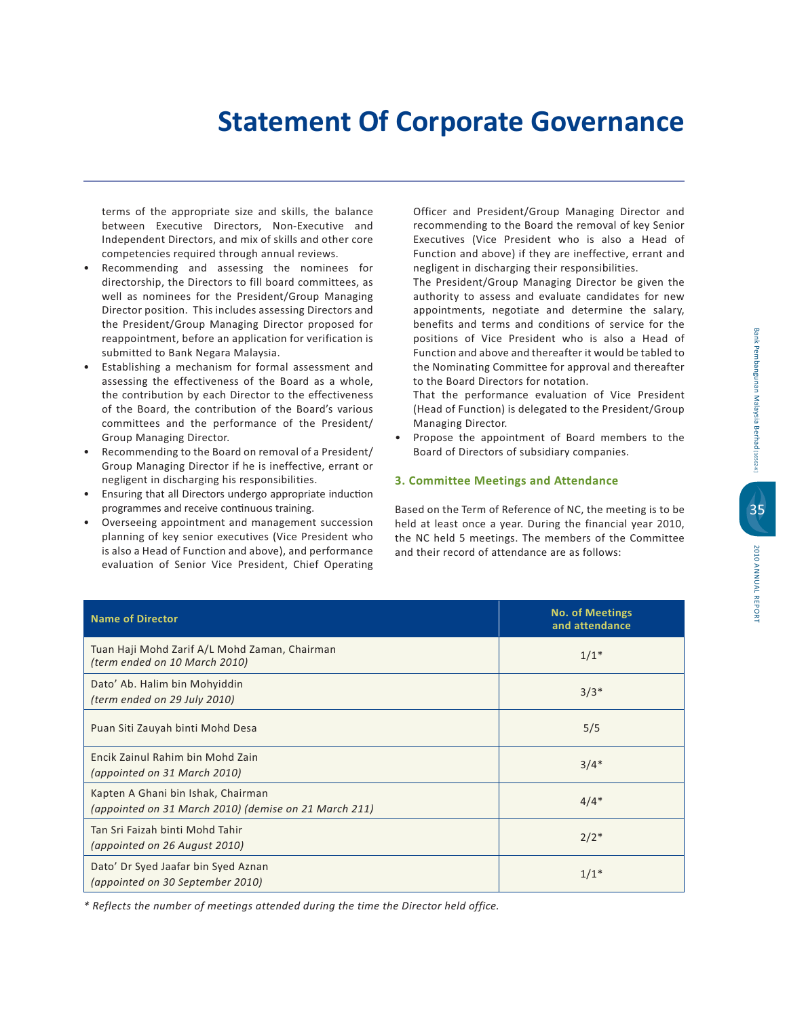terms of the appropriate size and skills, the balance between Executive Directors, Non-Executive and Independent Directors, and mix of skills and other core competencies required through annual reviews.

- Recommending and assessing the nominees for directorship, the Directors to fill board committees, as well as nominees for the President/Group Managing Director position. This includes assessing Directors and the President/Group Managing Director proposed for reappointment, before an application for verification is submitted to Bank Negara Malaysia.
- Establishing a mechanism for formal assessment and assessing the effectiveness of the Board as a whole, the contribution by each Director to the effectiveness of the Board, the contribution of the Board's various committees and the performance of the President/ Group Managing Director.
- Recommending to the Board on removal of a President/ Group Managing Director if he is ineffective, errant or negligent in discharging his responsibilities.
- Ensuring that all Directors undergo appropriate induction programmes and receive continuous training.
- Overseeing appointment and management succession planning of key senior executives (Vice President who is also a Head of Function and above), and performance evaluation of Senior Vice President, Chief Operating

Officer and President/Group Managing Director and recommending to the Board the removal of key Senior Executives (Vice President who is also a Head of Function and above) if they are ineffective, errant and negligent in discharging their responsibilities.

The President/Group Managing Director be given the authority to assess and evaluate candidates for new appointments, negotiate and determine the salary, benefits and terms and conditions of service for the positions of Vice President who is also a Head of Function and above and thereafter it would be tabled to the Nominating Committee for approval and thereafter to the Board Directors for notation.

That the performance evaluation of Vice President (Head of Function) is delegated to the President/Group Managing Director.

• Propose the appointment of Board members to the Board of Directors of subsidiary companies.

## **3. Committee Meetings and Attendance**

Based on the Term of Reference of NC, the meeting is to be held at least once a year. During the financial year 2010, the NC held 5 meetings. The members of the Committee and their record of attendance are as follows:

| <b>Name of Director</b>                                                                     | <b>No. of Meetings</b><br>and attendance |
|---------------------------------------------------------------------------------------------|------------------------------------------|
| Tuan Haji Mohd Zarif A/L Mohd Zaman, Chairman<br>(term ended on 10 March 2010)              | $1/1*$                                   |
| Dato' Ab. Halim bin Mohyiddin<br>(term ended on 29 July 2010)                               | $3/3*$                                   |
| Puan Siti Zauyah binti Mohd Desa                                                            | 5/5                                      |
| Encik Zainul Rahim bin Mohd Zain<br>(appointed on 31 March 2010)                            | $3/4*$                                   |
| Kapten A Ghani bin Ishak, Chairman<br>(appointed on 31 March 2010) (demise on 21 March 211) | $4/4*$                                   |
| Tan Sri Faizah binti Mohd Tahir<br>(appointed on 26 August 2010)                            | $2/2*$                                   |
| Dato' Dr Syed Jaafar bin Syed Aznan<br>(appointed on 30 September 2010)                     | $1/1*$                                   |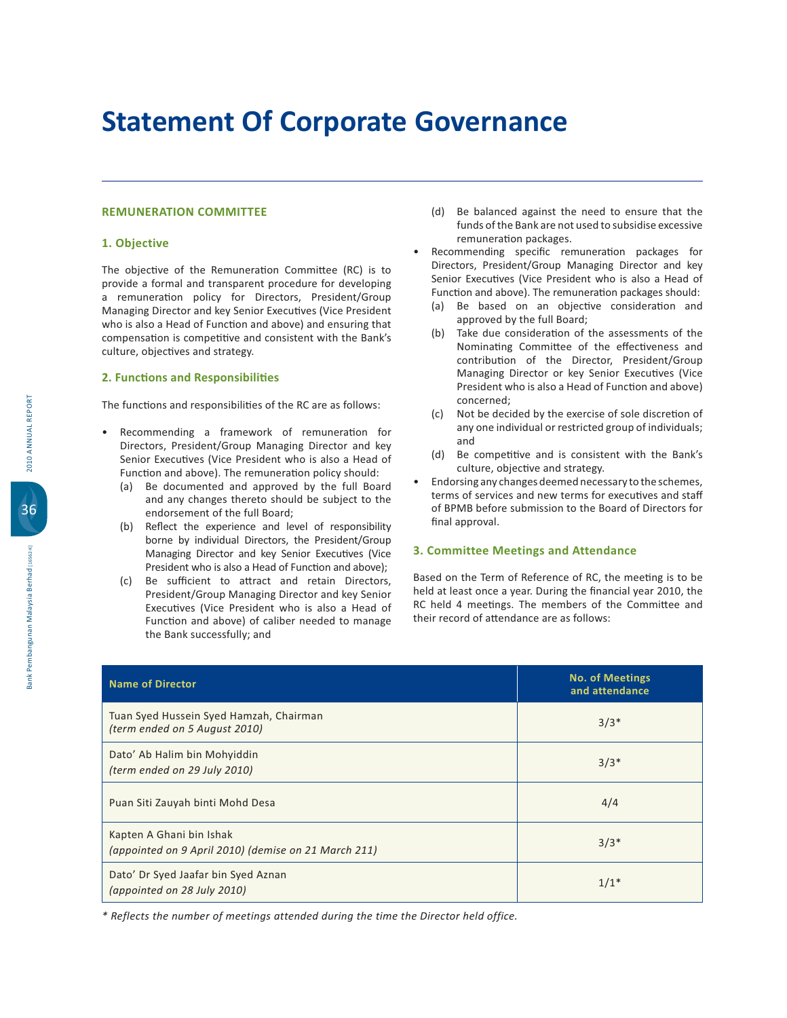## **REMUNERATION COMMITTEE**

## **5% 6**

The objective of the Remuneration Committee (RC) is to provide a formal and transparent procedure for developing a remuneration policy for Directors, President/Group Managing Director and key Senior Executives (Vice President who is also a Head of Function and above) and ensuring that compensation is competitive and consistent with the Bank's culture, objectives and strategy.

### **2. Functions and Responsibilities**

The functions and responsibilities of the RC are as follows:

- Recommending a framework of remuneration for Directors, President/Group Managing Director and key Senior Executives (Vice President who is also a Head of Function and above). The remuneration policy should:
	- (a) Be documented and approved by the full Board and any changes thereto should be subject to the endorsement of the full Board;
	- (b) Reflect the experience and level of responsibility borne by individual Directors, the President/Group Managing Director and key Senior Executives (Vice President who is also a Head of Function and above);
	- (c) Be sufficient to attract and retain Directors, President/Group Managing Director and key Senior Executives (Vice President who is also a Head of Function and above) of caliber needed to manage the Bank successfully; and
- (d) Be balanced against the need to ensure that the funds of the Bank are not used to subsidise excessive remuneration packages.
- Recommending specific remuneration packages for Directors, President/Group Managing Director and key Senior Executives (Vice President who is also a Head of Function and above). The remuneration packages should:
	- (a) Be based on an objective consideration and approved by the full Board;
	- $(b)$ ake due consideration of the assessments of the Nominating Committee of the effectiveness and contribution of the Director, President/Group Managing Director or key Senior Executives (Vice President who is also a Head of Function and above) concerned;
	- (c) Not be decided by the exercise of sole discretion of any one individual or restricted group of individuals; and
	- $(d)$ ) Be competitive and is consistent with the Bank's culture, objective and strategy.
- Endorsing any changes deemed necessary to the schemes, terms of services and new terms for executives and staff of BPMB before submission to the Board of Directors for final approval.

## **8%2**

Based on the Term of Reference of RC, the meeting is to be held at least once a year. During the financial year 2010, the RC held 4 meetings. The members of the Committee and their record of attendance are as follows:

| <b>Name of Director</b>                                                          | <b>No. of Meetings</b><br>and attendance |
|----------------------------------------------------------------------------------|------------------------------------------|
| Tuan Syed Hussein Syed Hamzah, Chairman<br>(term ended on 5 August 2010)         | $3/3*$                                   |
| Dato' Ab Halim bin Mohyiddin<br>(term ended on 29 July 2010)                     | $3/3*$                                   |
| Puan Siti Zauyah binti Mohd Desa                                                 | 4/4                                      |
| Kapten A Ghani bin Ishak<br>(appointed on 9 April 2010) (demise on 21 March 211) | $3/3*$                                   |
| Dato' Dr Syed Jaafar bin Syed Aznan<br>(appointed on 28 July 2010)               | $1/1*$                                   |

*\* Reflects the number of meetings attended during the time the Director held office.*

36